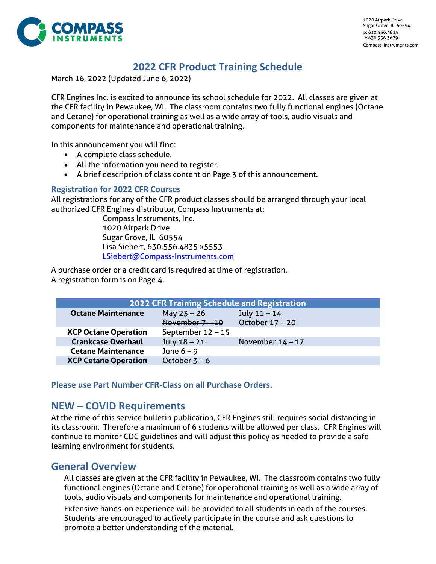

# **2022 CFR Product Training Schedule**

March 16, 2022 (Updated June 6, 2022)

CFR Engines Inc. is excited to announce its school schedule for 2022. All classes are given at the CFR facility in Pewaukee, WI. The classroom contains two fully functional engines (Octane and Cetane) for operational training as well as a wide array of tools, audio visuals and components for maintenance and operational training.

In this announcement you will find:

- A complete class schedule.
- All the information you need to register.
- A brief description of class content on Pag[e 3](#page-2-0) of this announcement.

#### **Registration for 2022 CFR Courses**

All registrations for any of the CFR product classes should be arranged through your local authorized CFR Engines distributor, Compass Instruments at:

Compass Instruments, Inc. 1020 Airpark Drive Sugar Grove, IL 60554 Lisa Siebert, 630.556.4835 x5553 [LSiebert@Compass-Instruments.com](mailto:LSiebert@Compass-Instruments.com)

A purchase order or a credit card is required at time of registration. A registration form is on Page [4.](#page-3-0)

| <b>2022 CFR Training Schedule and Registration</b> |                     |                    |  |  |  |
|----------------------------------------------------|---------------------|--------------------|--|--|--|
| <b>Octane Maintenance</b>                          | $May 23 - 26$       | $July 11 - 14$     |  |  |  |
|                                                    | November $7 - 10$   | October 17 - 20    |  |  |  |
| <b>XCP Octane Operation</b>                        | September $12 - 15$ |                    |  |  |  |
| <b>Crankcase Overhaul</b>                          | $July 18 - 21$      | November $14 - 17$ |  |  |  |
| <b>Cetane Maintenance</b>                          | June $6 - 9$        |                    |  |  |  |
| <b>XCP Cetane Operation</b>                        | October $3 - 6$     |                    |  |  |  |

**Please use Part Number CFR-Class on all Purchase Orders.**

## **NEW – COVID Requirements**

At the time of this service bulletin publication, CFR Engines still requires social distancing in its classroom. Therefore a maximum of 6 students will be allowed per class. CFR Engines will continue to monitor CDC guidelines and will adjust this policy as needed to provide a safe learning environment for students.

## **General Overview**

All classes are given at the CFR facility in Pewaukee, WI. The classroom contains two fully functional engines (Octane and Cetane) for operational training as well as a wide array of tools, audio visuals and components for maintenance and operational training.

Extensive hands-on experience will be provided to all students in each of the courses. Students are encouraged to actively participate in the course and ask questions to promote a better understanding of the material.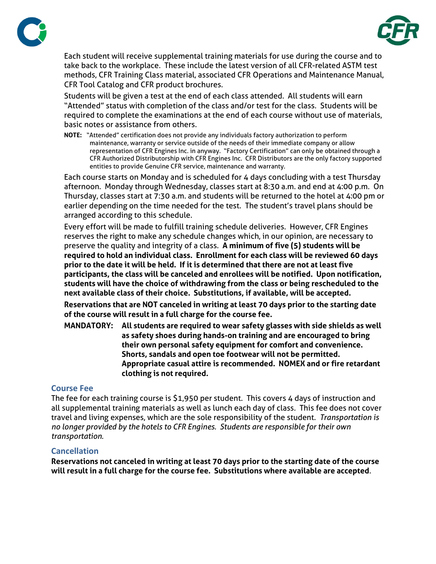



Each student will receive supplemental training materials for use during the course and to take back to the workplace. These include the latest version of all CFR-related ASTM test methods, CFR Training Class material, associated CFR Operations and Maintenance Manual, CFR Tool Catalog and CFR product brochures.

Students will be given a test at the end of each class attended. All students will earn "Attended" status with completion of the class and/or test for the class. Students will be required to complete the examinations at the end of each course without use of materials, basic notes or assistance from others.

**NOTE:** "Attended" certification does not provide any individuals factory authorization to perform maintenance, warranty or service outside of the needs of their immediate company or allow representation of CFR Engines Inc. in anyway. "Factory Certification" can only be obtained through a CFR Authorized Distributorship with CFR Engines Inc. CFR Distributors are the only factory supported entities to provide Genuine CFR service, maintenance and warranty.

Each course starts on Monday and is scheduled for 4 days concluding with a test Thursday afternoon. Monday through Wednesday, classes start at 8:30 a.m. and end at 4:00 p.m. On Thursday, classes start at 7:30 a.m. and students will be returned to the hotel at 4:00 pm or earlier depending on the time needed for the test. The student's travel plans should be arranged according to this schedule.

Every effort will be made to fulfill training schedule deliveries. However, CFR Engines reserves the right to make any schedule changes which, in our opinion, are necessary to preserve the quality and integrity of a class. **A minimum of five (5) students will be required to hold an individual class. Enrollment for each class will be reviewed 60 days prior to the date it will be held. If it is determined that there are not at least five participants, the class will be canceled and enrollees will be notified. Upon notification, students will have the choice of withdrawing from the class or being rescheduled to the next available class of their choice. Substitutions, if available, will be accepted.**

**Reservations that are NOT canceled in writing at least 70 days prior to the starting date of the course will result in a full charge for the course fee.**

**MANDATORY: All students are required to wear safety glasses with side shields as well as safety shoes during hands-on training and are encouraged to bring their own personal safety equipment for comfort and convenience. Shorts, sandals and open toe footwear will not be permitted. Appropriate casual attire is recommended. NOMEX and or fire retardant clothing is not required.**

### **Course Fee**

The fee for each training course is \$1,950 per student. This covers 4 days of instruction and all supplemental training materials as well as lunch each day of class. This fee does not cover travel and living expenses, which are the sole responsibility of the student. *Transportation is no longer provided by the hotels to CFR Engines. Students are responsible for their own transportation.*

#### **Cancellation**

**Reservations not canceled in writing at least 70 days prior to the starting date of the course will result in a full charge for the course fee. Substitutions where available are accepted**.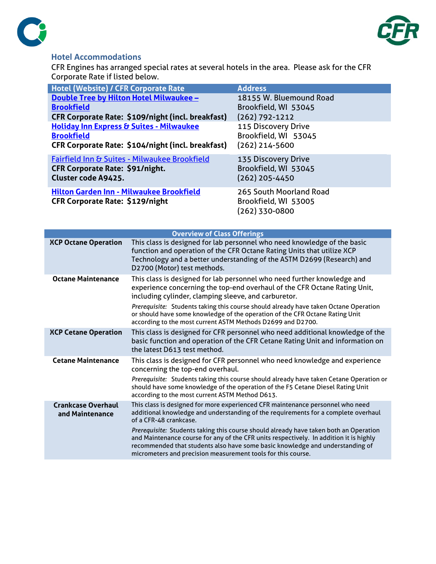



## **Hotel Accommodations**

CFR Engines has arranged special rates at several hotels in the area. Please ask for the CFR Corporate Rate if listed below.

| <b>Hotel (Website) / CFR Corporate Rate</b>                                        | <b>Address</b>                                                    |
|------------------------------------------------------------------------------------|-------------------------------------------------------------------|
| <b>Double Tree by Hilton Hotel Milwaukee -</b>                                     | 18155 W. Bluemound Road                                           |
| <b>Brookfield</b>                                                                  | Brookfield, WI 53045                                              |
| CFR Corporate Rate: \$109/night (incl. breakfast)                                  | $(262)$ 792-1212                                                  |
| <b>Holiday Inn Express &amp; Suites - Milwaukee</b>                                | 115 Discovery Drive                                               |
| <b>Brookfield</b>                                                                  | Brookfield, WI 53045                                              |
| CFR Corporate Rate: \$104/night (incl. breakfast)                                  | $(262)$ 214-5600                                                  |
| <b>Fairfield Inn &amp; Suites - Milwaukee Brookfield</b>                           | 135 Discovery Drive                                               |
| CFR Corporate Rate: \$91/night.                                                    | Brookfield, WI 53045                                              |
| <b>Cluster code A9425.</b>                                                         | (262) 205-4450                                                    |
|                                                                                    |                                                                   |
|                                                                                    |                                                                   |
|                                                                                    |                                                                   |
| Hilton Garden Inn - Milwaukee Brookfield<br><b>CFR Corporate Rate: \$129/night</b> | 265 South Moorland Road<br>Brookfield, WI 53005<br>(262) 330-0800 |

<span id="page-2-0"></span>

| <b>Overview of Class Offerings</b>           |                                                                                                                                                                                                                                                                                                                                                                                                                                                                                                                                    |  |  |  |
|----------------------------------------------|------------------------------------------------------------------------------------------------------------------------------------------------------------------------------------------------------------------------------------------------------------------------------------------------------------------------------------------------------------------------------------------------------------------------------------------------------------------------------------------------------------------------------------|--|--|--|
| <b>XCP Octane Operation</b>                  | This class is designed for lab personnel who need knowledge of the basic<br>function and operation of the CFR Octane Rating Units that utilize XCP<br>Technology and a better understanding of the ASTM D2699 (Research) and<br>D2700 (Motor) test methods.                                                                                                                                                                                                                                                                        |  |  |  |
| <b>Octane Maintenance</b>                    | This class is designed for lab personnel who need further knowledge and<br>experience concerning the top-end overhaul of the CFR Octane Rating Unit,<br>including cylinder, clamping sleeve, and carburetor.<br>Prerequisite: Students taking this course should already have taken Octane Operation<br>or should have some knowledge of the operation of the CFR Octane Rating Unit<br>according to the most current ASTM Methods D2699 and D2700.                                                                                |  |  |  |
| <b>XCP Cetane Operation</b>                  | This class is designed for CFR personnel who need additional knowledge of the<br>basic function and operation of the CFR Cetane Rating Unit and information on<br>the latest D613 test method.                                                                                                                                                                                                                                                                                                                                     |  |  |  |
| <b>Cetane Maintenance</b>                    | This class is designed for CFR personnel who need knowledge and experience<br>concerning the top-end overhaul.<br>Prerequisite: Students taking this course should already have taken Cetane Operation or<br>should have some knowledge of the operation of the F5 Cetane Diesel Rating Unit<br>according to the most current ASTM Method D613.                                                                                                                                                                                    |  |  |  |
| <b>Crankcase Overhaul</b><br>and Maintenance | This class is designed for more experienced CFR maintenance personnel who need<br>additional knowledge and understanding of the requirements for a complete overhaul<br>of a CFR-48 crankcase.<br>Prerequisite: Students taking this course should already have taken both an Operation<br>and Maintenance course for any of the CFR units respectively. In addition it is highly<br>recommended that students also have some basic knowledge and understanding of<br>micrometers and precision measurement tools for this course. |  |  |  |